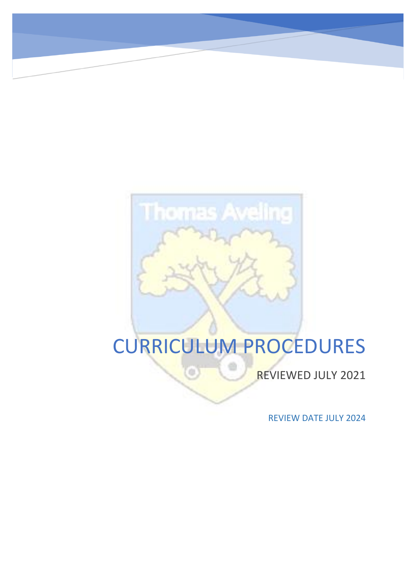# **Thomas Aveling**

# CURRICULUM PROCEDURES

÷

G

REVIEWED JULY 2021

REVIEW DATE JULY 2024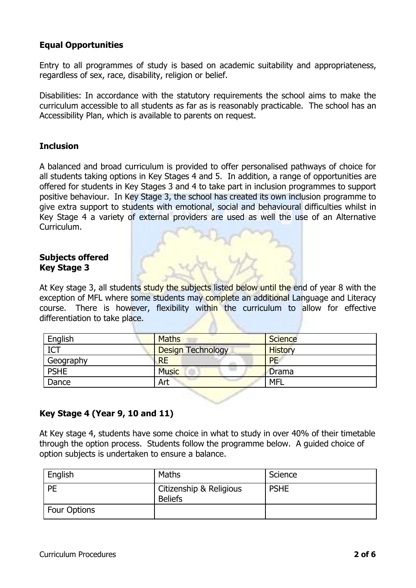# **Equal Opportunities**

Entry to all programmes of study is based on academic suitability and appropriateness, regardless of sex, race, disability, religion or belief.

Disabilities: In accordance with the statutory requirements the school aims to make the curriculum accessible to all students as far as is reasonably practicable. The school has an Accessibility Plan, which is available to parents on request.

# **Inclusion**

A balanced and broad curriculum is provided to offer personalised pathways of choice for all students taking options in Key Stages 4 and 5. In addition, a range of opportunities are offered for students in Key Stages 3 and 4 to take part in inclusion programmes to support positive behaviour. In Key Stage 3, the school has created its own inclusion programme to give extra support to students with emotional, social and behavioural difficulties whilst in Key Stage 4 a variety of external providers are used as well the use of an Alternative Curriculum.

# **Subjects offered Key Stage 3**

At Key stage 3, all students study the subjects listed below until the end of year 8 with the exception of MFL where some students may complete an additional Language and Literacy course. There is however, flexibility within the curriculum to allow for effective differentiation to take place.

| English     | <b>Maths</b>             | <b>Science</b> |
|-------------|--------------------------|----------------|
| <b>ICT</b>  | <b>Design Technology</b> | <b>History</b> |
| Geography   | <b>RE</b>                | <b>PE</b>      |
| <b>PSHE</b> | <b>Music</b>             | <b>Drama</b>   |
| Dance       | Art                      | <b>MFL</b>     |

# **Key Stage 4 (Year 9, 10 and 11)**

At Key stage 4, students have some choice in what to study in over 40% of their timetable through the option process. Students follow the programme below. A guided choice of option subjects is undertaken to ensure a balance.

| English             | Maths                                     | Science     |
|---------------------|-------------------------------------------|-------------|
| PE                  | Citizenship & Religious<br><b>Beliefs</b> | <b>PSHE</b> |
| <b>Four Options</b> |                                           |             |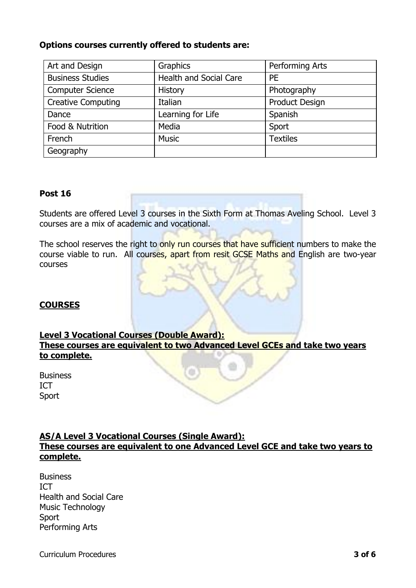# **Options courses currently offered to students are:**

| Art and Design            | Graphics                      | Performing Arts       |
|---------------------------|-------------------------------|-----------------------|
| <b>Business Studies</b>   | <b>Health and Social Care</b> | <b>PE</b>             |
| <b>Computer Science</b>   | History                       | Photography           |
| <b>Creative Computing</b> | Italian                       | <b>Product Design</b> |
| Dance                     | Learning for Life             | Spanish               |
| Food & Nutrition          | Media                         | Sport                 |
| French                    | <b>Music</b>                  | <b>Textiles</b>       |
| Geography                 |                               |                       |

# **Post 16**

Students are offered Level 3 courses in the Sixth Form at Thomas Aveling School. Level 3 courses are a mix of academic and vocational.

The school reserves the right to only run courses that have sufficient numbers to make the course viable to run. All courses, apart from resit GCSE Maths and English are two-year courses

# **COURSES**

# **Level 3 Vocational Courses (Double Award): These courses are equivalent to two Advanced Level GCEs and take two years to complete.**

**Business** ICT Sport

# **AS/A Level 3 Vocational Courses (Single Award): These courses are equivalent to one Advanced Level GCE and take two years to complete.**

**Business** ICT Health and Social Care Music Technology Sport Performing Arts

Curriculum Procedures **3 of 6**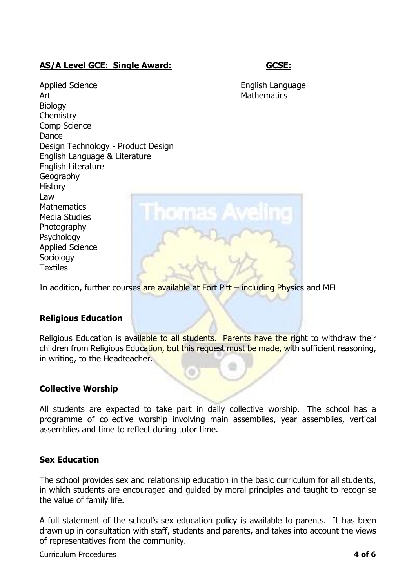# **AS/A Level GCE: Single Award: GCSE:**

Applied Science **English Language** Art Mathematics **Biology Chemistry** Comp Science Dance Design Technology - Product Design English Language & Literature English Literature Geography **History** Law **Mathematics** Media Studies **Photography Psychology** Applied Science Sociology **Textiles** 



In addition, further courses are available at Fort Pitt – including Physics and MFL

# **Religious Education**

Religious Education is available to all students. Parents have the right to withdraw their children from Religious Education, but this request must be made, with sufficient reasoning, in writing, to the Headteacher.

# **Collective Worship**

All students are expected to take part in daily collective worship. The school has a programme of collective worship involving main assemblies, year assemblies, vertical assemblies and time to reflect during tutor time.

# **Sex Education**

The school provides sex and relationship education in the basic curriculum for all students, in which students are encouraged and guided by moral principles and taught to recognise the value of family life.

A full statement of the school's sex education policy is available to parents. It has been drawn up in consultation with staff, students and parents, and takes into account the views of representatives from the community.

Curriculum Procedures **4 of 6**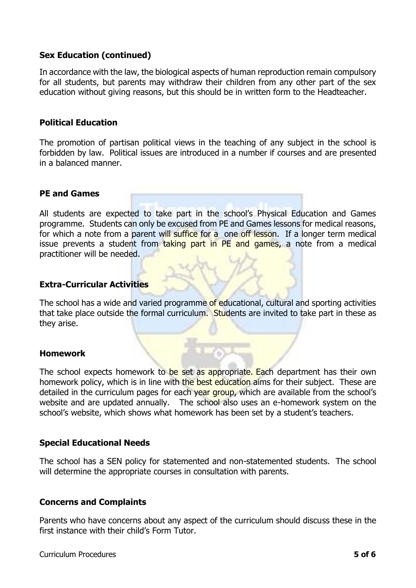# **Sex Education (continued)**

In accordance with the law, the biological aspects of human reproduction remain compulsory for all students, but parents may withdraw their children from any other part of the sex education without giving reasons, but this should be in written form to the Headteacher.

# **Political Education**

The promotion of partisan political views in the teaching of any subject in the school is forbidden by law. Political issues are introduced in a number if courses and are presented in a balanced manner.

# **PE and Games**

All students are expected to take part in the school's Physical Education and Games programme. Students can only be excused from PE and Games lessons for medical reasons, for which a note from a parent will suffice for a one off lesson. If a longer term medical issue prevents a student from taking part in PE and games, a note from a medical practitioner will be needed.

# **Extra-Curricular Activities**

The school has a wide and varied programme of educational, cultural and sporting activities that take place outside the formal curriculum. Students are invited to take part in these as they arise.

# **Homework**

The school expects homework to be set as appropriate. Each department has their own homework policy, which is in line with the best education aims for their subject. These are detailed in the curriculum pages for each year group, which are available from the school's website and are updated annually. The school also uses an e-homework system on the school's website, which shows what homework has been set by a student's teachers.

# **Special Educational Needs**

The school has a SEN policy for statemented and non-statemented students. The school will determine the appropriate courses in consultation with parents.

# **Concerns and Complaints**

Parents who have concerns about any aspect of the curriculum should discuss these in the first instance with their child's Form Tutor.